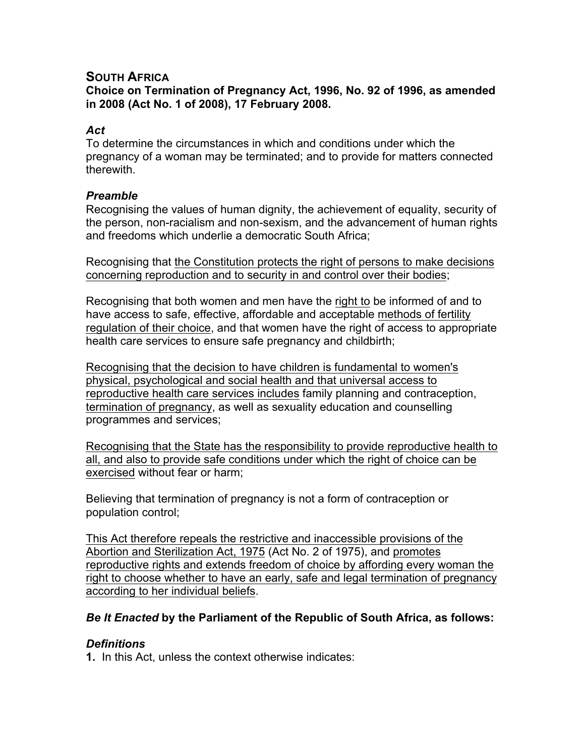# **SOUTH AFRICA**

**Choice on Termination of Pregnancy Act, 1996, No. 92 of 1996, as amended in 2008 (Act No. 1 of 2008), 17 February 2008.**

### *Act*

To determine the circumstances in which and conditions under which the pregnancy of a woman may be terminated; and to provide for matters connected therewith.

### *Preamble*

Recognising the values of human dignity, the achievement of equality, security of the person, non-racialism and non-sexism, and the advancement of human rights and freedoms which underlie a democratic South Africa;

Recognising that the Constitution protects the right of persons to make decisions concerning reproduction and to security in and control over their bodies;

Recognising that both women and men have the right to be informed of and to have access to safe, effective, affordable and acceptable methods of fertility regulation of their choice, and that women have the right of access to appropriate health care services to ensure safe pregnancy and childbirth;

Recognising that the decision to have children is fundamental to women's physical, psychological and social health and that universal access to reproductive health care services includes family planning and contraception, termination of pregnancy, as well as sexuality education and counselling programmes and services;

Recognising that the State has the responsibility to provide reproductive health to all, and also to provide safe conditions under which the right of choice can be exercised without fear or harm;

Believing that termination of pregnancy is not a form of contraception or population control;

This Act therefore repeals the restrictive and inaccessible provisions of the Abortion and Sterilization Act, 1975 (Act No. 2 of 1975), and promotes reproductive rights and extends freedom of choice by affording every woman the right to choose whether to have an early, safe and legal termination of pregnancy according to her individual beliefs.

## *Be It Enacted* **by the Parliament of the Republic of South Africa, as follows:**

## *Definitions*

**1.** In this Act, unless the context otherwise indicates: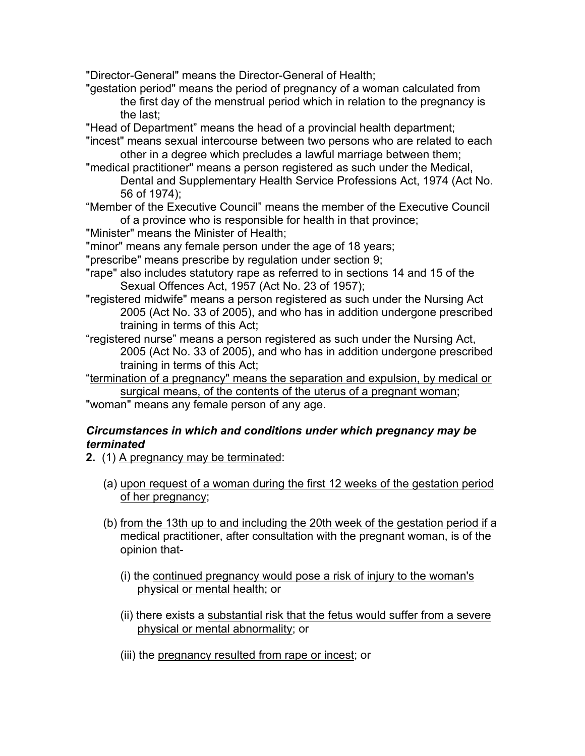"Director-General" means the Director-General of Health;

"gestation period" means the period of pregnancy of a woman calculated from the first day of the menstrual period which in relation to the pregnancy is the last;

"Head of Department" means the head of a provincial health department;

"incest" means sexual intercourse between two persons who are related to each other in a degree which precludes a lawful marriage between them;

"medical practitioner" means a person registered as such under the Medical, Dental and Supplementary Health Service Professions Act, 1974 (Act No. 56 of 1974);

- "Member of the Executive Council" means the member of the Executive Council of a province who is responsible for health in that province;
- "Minister" means the Minister of Health;

"minor" means any female person under the age of 18 years;

"prescribe" means prescribe by regulation under section 9;

- "rape" also includes statutory rape as referred to in sections 14 and 15 of the Sexual Offences Act, 1957 (Act No. 23 of 1957);
- "registered midwife" means a person registered as such under the Nursing Act 2005 (Act No. 33 of 2005), and who has in addition undergone prescribed training in terms of this Act;

"registered nurse" means a person registered as such under the Nursing Act, 2005 (Act No. 33 of 2005), and who has in addition undergone prescribed training in terms of this Act;

"termination of a pregnancy" means the separation and expulsion, by medical or surgical means, of the contents of the uterus of a pregnant woman;

"woman" means any female person of any age.

### *Circumstances in which and conditions under which pregnancy may be terminated*

**2.** (1) A pregnancy may be terminated:

- (a) upon request of a woman during the first 12 weeks of the gestation period of her pregnancy;
- (b) from the 13th up to and including the 20th week of the gestation period if a medical practitioner, after consultation with the pregnant woman, is of the opinion that-
	- (i) the continued pregnancy would pose a risk of injury to the woman's physical or mental health; or
	- (ii) there exists a substantial risk that the fetus would suffer from a severe physical or mental abnormality; or
	- (iii) the pregnancy resulted from rape or incest; or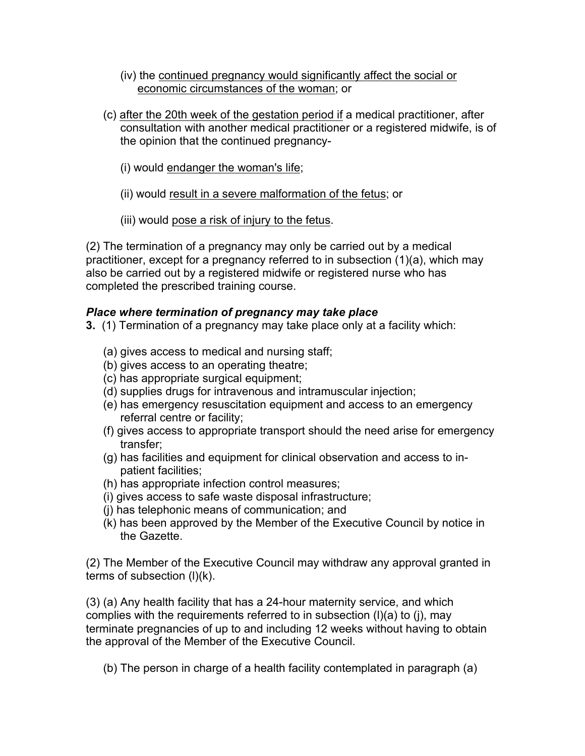- (iv) the continued pregnancy would significantly affect the social or economic circumstances of the woman; or
- (c) after the 20th week of the gestation period if a medical practitioner, after consultation with another medical practitioner or a registered midwife, is of the opinion that the continued pregnancy-
	- (i) would endanger the woman's life;
	- (ii) would result in a severe malformation of the fetus; or
	- (iii) would pose a risk of injury to the fetus.

(2) The termination of a pregnancy may only be carried out by a medical practitioner, except for a pregnancy referred to in subsection (1)(a), which may also be carried out by a registered midwife or registered nurse who has completed the prescribed training course.

# *Place where termination of pregnancy may take place*

- **3.** (1) Termination of a pregnancy may take place only at a facility which:
	- (a) gives access to medical and nursing staff;
	- (b) gives access to an operating theatre;
	- (c) has appropriate surgical equipment;
	- (d) supplies drugs for intravenous and intramuscular injection;
	- (e) has emergency resuscitation equipment and access to an emergency referral centre or facility;
	- (f) gives access to appropriate transport should the need arise for emergency transfer;
	- (g) has facilities and equipment for clinical observation and access to inpatient facilities;
	- (h) has appropriate infection control measures;
	- (i) gives access to safe waste disposal infrastructure;
	- (j) has telephonic means of communication; and
	- (k) has been approved by the Member of the Executive Council by notice in the Gazette.

(2) The Member of the Executive Council may withdraw any approval granted in terms of subsection (l)(k).

(3) (a) Any health facility that has a 24-hour maternity service, and which complies with the requirements referred to in subsection (l)(a) to (j), may terminate pregnancies of up to and including 12 weeks without having to obtain the approval of the Member of the Executive Council.

(b) The person in charge of a health facility contemplated in paragraph (a)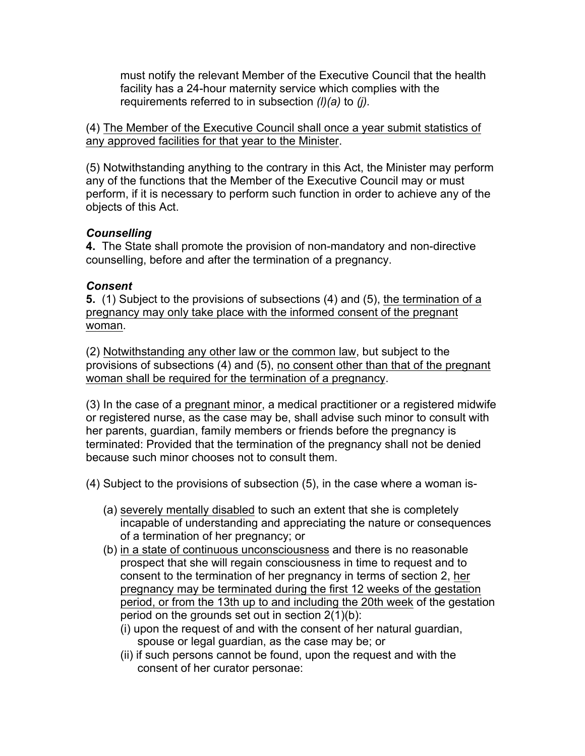must notify the relevant Member of the Executive Council that the health facility has a 24-hour maternity service which complies with the requirements referred to in subsection *(l)(a)* to *(j).*

(4) The Member of the Executive Council shall once a year submit statistics of any approved facilities for that year to the Minister.

(5) Notwithstanding anything to the contrary in this Act, the Minister may perform any of the functions that the Member of the Executive Council may or must perform, if it is necessary to perform such function in order to achieve any of the objects of this Act.

## *Counselling*

**4.** The State shall promote the provision of non-mandatory and non-directive counselling, before and after the termination of a pregnancy.

#### *Consent*

**5.** (1) Subject to the provisions of subsections (4) and (5), the termination of a pregnancy may only take place with the informed consent of the pregnant woman.

(2) Notwithstanding any other law or the common law, but subject to the provisions of subsections (4) and (5), no consent other than that of the pregnant woman shall be required for the termination of a pregnancy.

(3) In the case of a pregnant minor, a medical practitioner or a registered midwife or registered nurse, as the case may be, shall advise such minor to consult with her parents, guardian, family members or friends before the pregnancy is terminated: Provided that the termination of the pregnancy shall not be denied because such minor chooses not to consult them.

- (4) Subject to the provisions of subsection (5), in the case where a woman is-
	- (a) severely mentally disabled to such an extent that she is completely incapable of understanding and appreciating the nature or consequences of a termination of her pregnancy; or
	- (b) in a state of continuous unconsciousness and there is no reasonable prospect that she will regain consciousness in time to request and to consent to the termination of her pregnancy in terms of section 2, her pregnancy may be terminated during the first 12 weeks of the gestation period, or from the 13th up to and including the 20th week of the gestation period on the grounds set out in section 2(1)(b):
		- (i) upon the request of and with the consent of her natural guardian, spouse or legal guardian, as the case may be; or
		- (ii) if such persons cannot be found, upon the request and with the consent of her curator personae: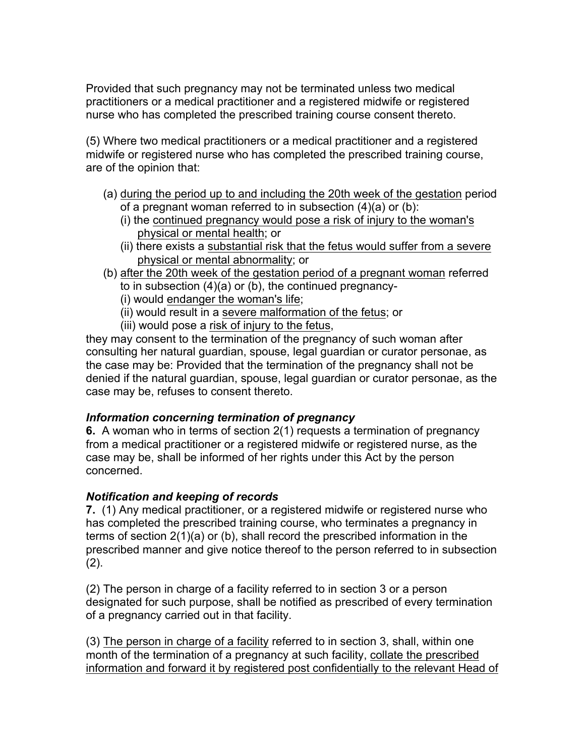Provided that such pregnancy may not be terminated unless two medical practitioners or a medical practitioner and a registered midwife or registered nurse who has completed the prescribed training course consent thereto.

(5) Where two medical practitioners or a medical practitioner and a registered midwife or registered nurse who has completed the prescribed training course, are of the opinion that:

- (a) during the period up to and including the 20th week of the gestation period of a pregnant woman referred to in subsection (4)(a) or (b):
	- (i) the continued pregnancy would pose a risk of injury to the woman's physical or mental health; or
	- (ii) there exists a substantial risk that the fetus would suffer from a severe physical or mental abnormality; or
- (b) after the 20th week of the gestation period of a pregnant woman referred to in subsection (4)(a) or (b), the continued pregnancy-
	- (i) would endanger the woman's life;
	- (ii) would result in a severe malformation of the fetus; or
	- (iii) would pose a risk of injury to the fetus,

they may consent to the termination of the pregnancy of such woman after consulting her natural guardian, spouse, legal guardian or curator personae, as the case may be: Provided that the termination of the pregnancy shall not be denied if the natural guardian, spouse, legal guardian or curator personae, as the case may be, refuses to consent thereto.

## *Information concerning termination of pregnancy*

**6.** A woman who in terms of section 2(1) requests a termination of pregnancy from a medical practitioner or a registered midwife or registered nurse, as the case may be, shall be informed of her rights under this Act by the person concerned.

## *Notification and keeping of records*

**7.** (1) Any medical practitioner, or a registered midwife or registered nurse who has completed the prescribed training course, who terminates a pregnancy in terms of section 2(1)(a) or (b), shall record the prescribed information in the prescribed manner and give notice thereof to the person referred to in subsection (2).

(2) The person in charge of a facility referred to in section 3 or a person designated for such purpose, shall be notified as prescribed of every termination of a pregnancy carried out in that facility.

(3) The person in charge of a facility referred to in section 3, shall, within one month of the termination of a pregnancy at such facility, collate the prescribed information and forward it by registered post confidentially to the relevant Head of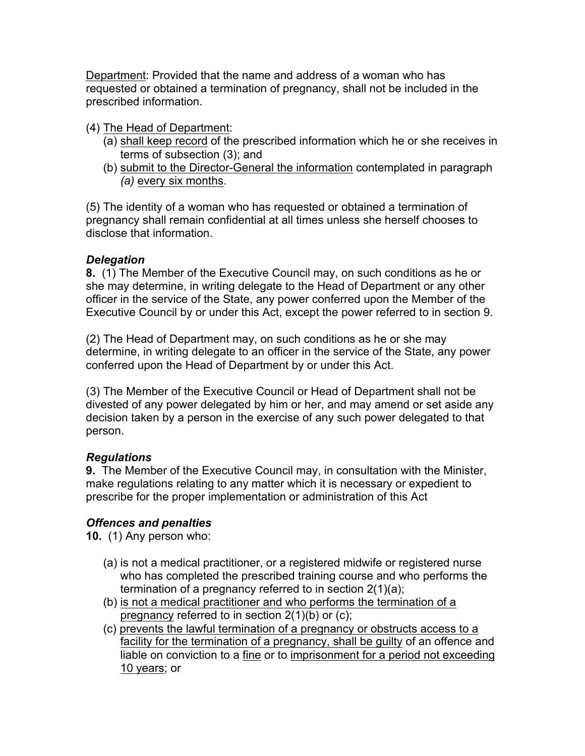Department: Provided that the name and address of a woman who has requested or obtained a termination of pregnancy, shall not be included in the prescribed information.

- (4) The Head of Department:
	- (a) shall keep record of the prescribed information which he or she receives in terms of subsection (3); and
	- (b) submit to the Director-General the information contemplated in paragraph *(a)* every six months.

(5) The identity of a woman who has requested or obtained a termination of pregnancy shall remain confidential at all times unless she herself chooses to disclose that information.

# *Delegation*

**8.** (1) The Member of the Executive Council may, on such conditions as he or she may determine, in writing delegate to the Head of Department or any other officer in the service of the State, any power conferred upon the Member of the Executive Council by or under this Act, except the power referred to in section 9.

(2) The Head of Department may, on such conditions as he or she may determine, in writing delegate to an officer in the service of the State, any power conferred upon the Head of Department by or under this Act.

(3) The Member of the Executive Council or Head of Department shall not be divested of any power delegated by him or her, and may amend or set aside any decision taken by a person in the exercise of any such power delegated to that person.

# *Regulations*

**9.** The Member of the Executive Council may, in consultation with the Minister, make regulations relating to any matter which it is necessary or expedient to prescribe for the proper implementation or administration of this Act

# *Offences and penalties*

**10.** (1) Any person who:

- (a) is not a medical practitioner, or a registered midwife or registered nurse who has completed the prescribed training course and who performs the termination of a pregnancy referred to in section 2(1)(a);
- (b) is not a medical practitioner and who performs the termination of a pregnancy referred to in section 2(1)(b) or (c);
- (c) prevents the lawful termination of a pregnancy or obstructs access to a facility for the termination of a pregnancy, shall be guilty of an offence and liable on conviction to a fine or to imprisonment for a period not exceeding 10 years; or